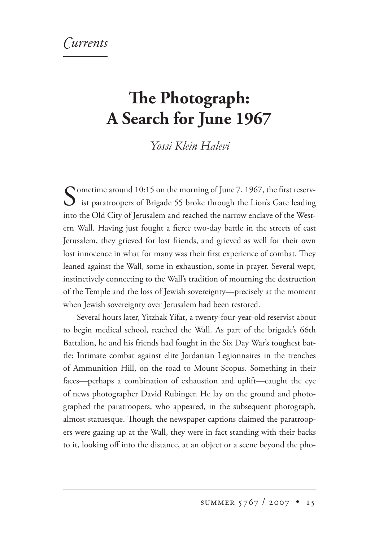## **e Photograph: A Search for June 1967**

*Yossi Klein Halevi*

Cometime around 10:15 on the morning of June 7, 1967, the first reserv-**U** ist paratroopers of Brigade 55 broke through the Lion's Gate leading into the Old City of Jerusalem and reached the narrow enclave of the Western Wall. Having just fought a fierce two-day battle in the streets of east Jerusalem, they grieved for lost friends, and grieved as well for their own lost innocence in what for many was their first experience of combat. They leaned against the Wall, some in exhaustion, some in prayer. Several wept, instinctively connecting to the Wall's tradition of mourning the destruction of the Temple and the loss of Jewish sovereignty—precisely at the moment when Jewish sovereignty over Jerusalem had been restored.

Several hours later, Yitzhak Yifat, a twenty-four-year-old reservist about to begin medical school, reached the Wall. As part of the brigade's 66th Battalion, he and his friends had fought in the Six Day War's toughest battle: Intimate combat against elite Jordanian Legionnaires in the trenches of Ammunition Hill, on the road to Mount Scopus. Something in their faces—perhaps a combination of exhaustion and uplift—caught the eye of news photographer David Rubinger. He lay on the ground and photographed the paratroopers, who appeared, in the subsequent photograph, almost statuesque. Though the newspaper captions claimed the paratroopers were gazing up at the Wall, they were in fact standing with their backs to it, looking off into the distance, at an object or a scene beyond the pho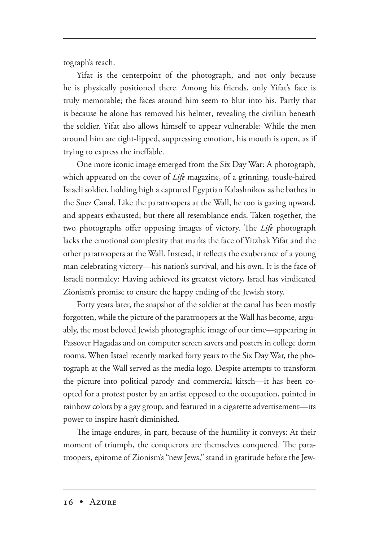tograph's reach.

Yifat is the centerpoint of the photograph, and not only because he is physically positioned there. Among his friends, only Yifat's face is truly memorable; the faces around him seem to blur into his. Partly that is because he alone has removed his helmet, revealing the civilian beneath the soldier. Yifat also allows himself to appear vulnerable: While the men around him are tight-lipped, suppressing emotion, his mouth is open, as if trying to express the ineffable.

One more iconic image emerged from the Six Day War: A photograph, which appeared on the cover of *Life* magazine, of a grinning, tousle-haired Israeli soldier, holding high a captured Egyptian Kalashnikov as he bathes in the Suez Canal. Like the paratroopers at the Wall, he too is gazing upward, and appears exhausted; but there all resemblance ends. Taken together, the two photographs offer opposing images of victory. The *Life* photograph lacks the emotional complexity that marks the face of Yitzhak Yifat and the other paratroopers at the Wall. Instead, it reflects the exuberance of a young man celebrating victory—his nation's survival, and his own. It is the face of Israeli normalcy: Having achieved its greatest victory, Israel has vindicated Zionism's promise to ensure the happy ending of the Jewish story.

Forty years later, the snapshot of the soldier at the canal has been mostly forgotten, while the picture of the paratroopers at the Wall has become, arguably, the most beloved Jewish photographic image of our time—appearing in Passover Hagadas and on computer screen savers and posters in college dorm rooms. When Israel recently marked forty years to the Six Day War, the photograph at the Wall served as the media logo. Despite attempts to transform the picture into political parody and commercial kitsch—it has been coopted for a protest poster by an artist opposed to the occupation, painted in rainbow colors by a gay group, and featured in a cigarette advertisement—its power to inspire hasn't diminished.

The image endures, in part, because of the humility it conveys: At their moment of triumph, the conquerors are themselves conquered. The paratroopers, epitome of Zionism's "new Jews," stand in gratitude before the Jew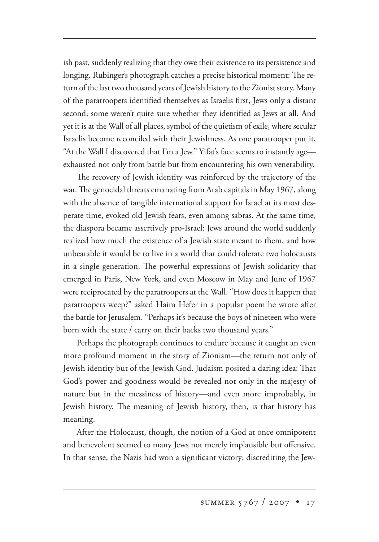ish past, suddenly realizing that they owe their existence to its persistence and longing. Rubinger's photograph catches a precise historical moment: The return of the last two thousand years of Jewish history to the Zionist story. Many of the paratroopers identified themselves as Israelis first, Jews only a distant second; some weren't quite sure whether they identified as Jews at all. And yet it is at the Wall of all places, symbol of the quietism of exile, where secular Israelis become reconciled with their Jewishness. As one paratrooper put it, "At the Wall I discovered that I'm a Jew." Yifat's face seems to instantly age exhausted not only from battle but from encountering his own venerability.

The recovery of Jewish identity was reinforced by the trajectory of the war. The genocidal threats emanating from Arab capitals in May 1967, along with the absence of tangible international support for Israel at its most desperate time, evoked old Jewish fears, even among sabras. At the same time, the diaspora became assertively pro-Israel: Jews around the world suddenly realized how much the existence of a Jewish state meant to them, and how unbearable it would be to live in a world that could tolerate two holocausts in a single generation. The powerful expressions of Jewish solidarity that emerged in Paris, New York, and even Moscow in May and June of 1967 were reciprocated by the paratroopers at the Wall. "How does it happen that paratroopers weep?" asked Haim Hefer in a popular poem he wrote after the battle for Jerusalem. "Perhaps it's because the boys of nineteen who were born with the state / carry on their backs two thousand years."

Perhaps the photograph continues to endure because it caught an even more profound moment in the story of Zionism—the return not only of Jewish identity but of the Jewish God. Judaism posited a daring idea: That God's power and goodness would be revealed not only in the majesty of nature but in the messiness of history—and even more improbably, in Jewish history. The meaning of Jewish history, then, is that history has meaning.

After the Holocaust, though, the notion of a God at once omnipotent and benevolent seemed to many Jews not merely implausible but offensive. In that sense, the Nazis had won a significant victory; discrediting the Jew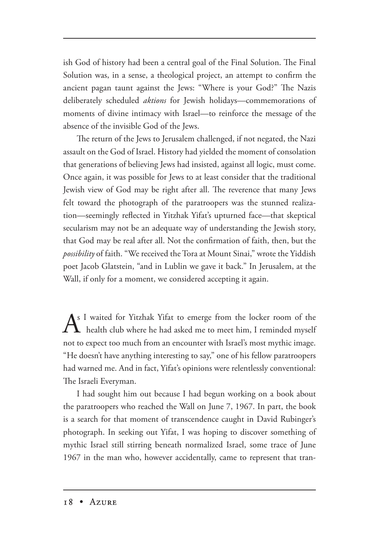ish God of history had been a central goal of the Final Solution. The Final Solution was, in a sense, a theological project, an attempt to confirm the ancient pagan taunt against the Jews: "Where is your God?" The Nazis deliberately scheduled *aktions* for Jewish holidays—commemorations of moments of divine intimacy with Israel—to reinforce the message of the absence of the invisible God of the Jews.

The return of the Jews to Jerusalem challenged, if not negated, the Nazi assault on the God of Israel. History had yielded the moment of consolation that generations of believing Jews had insisted, against all logic, must come. Once again, it was possible for Jews to at least consider that the traditional Jewish view of God may be right after all. The reverence that many Jews felt toward the photograph of the paratroopers was the stunned realization—seemingly reflected in Yitzhak Yifat's upturned face—that skeptical secularism may not be an adequate way of understanding the Jewish story, that God may be real after all. Not the confirmation of faith, then, but the *possibility* of faith. "We received the Tora at Mount Sinai," wrote the Yiddish poet Jacob Glatstein, "and in Lublin we gave it back." In Jerusalem, at the Wall, if only for a moment, we considered accepting it again.

 $A<sup>s</sup>$  I waited for Yitzhak Yifat to emerge from the locker room of the health club where he had asked me to meet him, I reminded myself not to expect too much from an encounter with Israel's most mythic image. "He doesn't have anything interesting to say," one of his fellow paratroopers had warned me. And in fact, Yifat's opinions were relentlessly conventional: The Israeli Everyman.

I had sought him out because I had begun working on a book about the paratroopers who reached the Wall on June 7, 1967. In part, the book is a search for that moment of transcendence caught in David Rubinger's photograph. In seeking out Yifat, I was hoping to discover something of mythic Israel still stirring beneath normalized Israel, some trace of June 1967 in the man who, however accidentally, came to represent that tran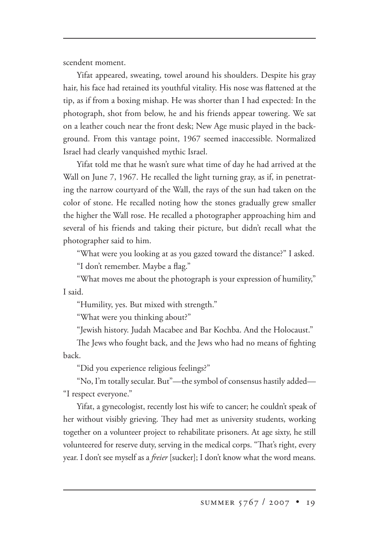scendent moment.

Yifat appeared, sweating, towel around his shoulders. Despite his gray hair, his face had retained its youthful vitality. His nose was flattened at the tip, as if from a boxing mishap. He was shorter than I had expected: In the photograph, shot from below, he and his friends appear towering. We sat on a leather couch near the front desk; New Age music played in the background. From this vantage point, 1967 seemed inaccessible. Normalized Israel had clearly vanquished mythic Israel.

Yifat told me that he wasn't sure what time of day he had arrived at the Wall on June 7, 1967. He recalled the light turning gray, as if, in penetrating the narrow courtyard of the Wall, the rays of the sun had taken on the color of stone. He recalled noting how the stones gradually grew smaller the higher the Wall rose. He recalled a photographer approaching him and several of his friends and taking their picture, but didn't recall what the photographer said to him.

"What were you looking at as you gazed toward the distance?" I asked.

"I don't remember. Maybe a flag."

"What moves me about the photograph is your expression of humility," I said.

"Humility, yes. But mixed with strength."

"What were you thinking about?"

"Jewish history. Judah Macabee and Bar Kochba. And the Holocaust."

The Jews who fought back, and the Jews who had no means of fighting back.

"Did you experience religious feelings?"

"No, I'm totally secular. But"—the symbol of consensus hastily added— "I respect everyone."

Yifat, a gynecologist, recently lost his wife to cancer; he couldn't speak of her without visibly grieving. They had met as university students, working together on a volunteer project to rehabilitate prisoners. At age sixty, he still volunteered for reserve duty, serving in the medical corps. "That's right, every year. I don't see myself as a *freier* [sucker]; I don't know what the word means.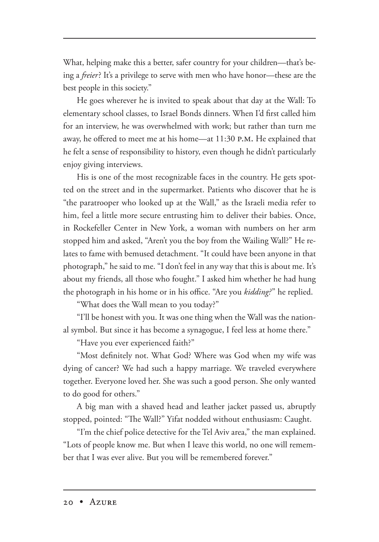What, helping make this a better, safer country for your children—that's being a *freier*? It's a privilege to serve with men who have honor—these are the best people in this society."

He goes wherever he is invited to speak about that day at the Wall: To elementary school classes, to Israel Bonds dinners. When I'd first called him for an interview, he was overwhelmed with work; but rather than turn me away, he offered to meet me at his home—at 11:30 P.M. He explained that he felt a sense of responsibility to history, even though he didn't particularly enjoy giving interviews.

His is one of the most recognizable faces in the country. He gets spotted on the street and in the supermarket. Patients who discover that he is "the paratrooper who looked up at the Wall," as the Israeli media refer to him, feel a little more secure entrusting him to deliver their babies. Once, in Rockefeller Center in New York, a woman with numbers on her arm stopped him and asked, "Aren't you the boy from the Wailing Wall?" He relates to fame with bemused detachment. "It could have been anyone in that photograph," he said to me. "I don't feel in any way that this is about me. It's about my friends, all those who fought." I asked him whether he had hung the photograph in his home or in his office. "Are you *kidding?*" he replied.

"What does the Wall mean to you today?"

"I'll be honest with you. It was one thing when the Wall was the national symbol. But since it has become a synagogue, I feel less at home there."

"Have you ever experienced faith?"

"Most definitely not. What God? Where was God when my wife was dying of cancer? We had such a happy marriage. We traveled everywhere together. Everyone loved her. She was such a good person. She only wanted to do good for others."

A big man with a shaved head and leather jacket passed us, abruptly stopped, pointed: "The Wall?" Yifat nodded without enthusiasm: Caught.

"I'm the chief police detective for the Tel Aviv area," the man explained. "Lots of people know me. But when I leave this world, no one will remember that I was ever alive. But you will be remembered forever."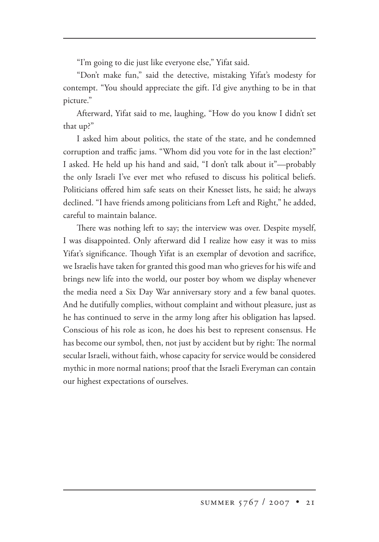"I'm going to die just like everyone else," Yifat said.

"Don't make fun," said the detective, mistaking Yifat's modesty for contempt. "You should appreciate the gift. I'd give anything to be in that picture."

Afterward, Yifat said to me, laughing, "How do you know I didn't set that up?"

I asked him about politics, the state of the state, and he condemned corruption and traffic jams. "Whom did you vote for in the last election?" I asked. He held up his hand and said, "I don't talk about it"—probably the only Israeli I've ever met who refused to discuss his political beliefs. Politicians offered him safe seats on their Knesset lists, he said; he always declined. "I have friends among politicians from Left and Right," he added, careful to maintain balance.

There was nothing left to say; the interview was over. Despite myself, I was disappointed. Only afterward did I realize how easy it was to miss Yifat's significance. Though Yifat is an exemplar of devotion and sacrifice, we Israelis have taken for granted this good man who grieves for his wife and brings new life into the world, our poster boy whom we display whenever the media need a Six Day War anniversary story and a few banal quotes. And he dutifully complies, without complaint and without pleasure, just as he has continued to serve in the army long after his obligation has lapsed. Conscious of his role as icon, he does his best to represent consensus. He has become our symbol, then, not just by accident but by right: The normal secular Israeli, without faith, whose capacity for service would be considered mythic in more normal nations; proof that the Israeli Everyman can contain our highest expectations of ourselves.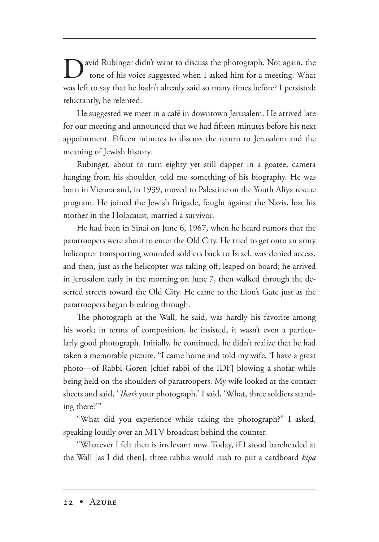**D**avid Rubinger didn't want to discuss the photograph. Not again, the tone of his voice suggested when I asked him for a meeting. What was left to say that he hadn't already said so many times before? I persisted; reluctantly, he relented.

He suggested we meet in a café in downtown Jerusalem. He arrived late for our meeting and announced that we had fifteen minutes before his next appointment. Fifteen minutes to discuss the return to Jerusalem and the meaning of Jewish history.

Rubinger, about to turn eighty yet still dapper in a goatee, camera hanging from his shoulder, told me something of his biography. He was born in Vienna and, in 1939, moved to Palestine on the Youth Aliya rescue program. He joined the Jewish Brigade, fought against the Nazis, lost his mother in the Holocaust, married a survivor.

He had been in Sinai on June 6, 1967, when he heard rumors that the paratroopers were about to enter the Old City. He tried to get onto an army helicopter transporting wounded soldiers back to Israel, was denied access, and then, just as the helicopter was taking off, leaped on board; he arrived in Jerusalem early in the morning on June 7, then walked through the deserted streets toward the Old City. He came to the Lion's Gate just as the paratroopers began breaking through.

The photograph at the Wall, he said, was hardly his favorite among his work; in terms of composition, he insisted, it wasn't even a particularly good photograph. Initially, he continued, he didn't realize that he had taken a memorable picture. "I came home and told my wife, 'I have a great photo—of Rabbi Goren [chief rabbi of the IDF] blowing a shofar while being held on the shoulders of paratroopers. My wife looked at the contact sheets and said, '*That's* your photograph.' I said, 'What, three soldiers standing there?'"

"What did you experience while taking the photograph?" I asked, speaking loudly over an MTV broadcast behind the counter.

"Whatever I felt then is irrelevant now. Today, if I stood bareheaded at the Wall [as I did then], three rabbis would rush to put a cardboard *kipa*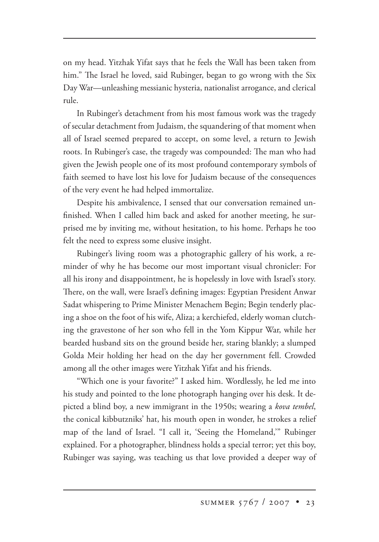on my head. Yitzhak Yifat says that he feels the Wall has been taken from him." The Israel he loved, said Rubinger, began to go wrong with the Six Day War—unleashing messianic hysteria, nationalist arrogance, and clerical rule.

In Rubinger's detachment from his most famous work was the tragedy of secular detachment from Judaism, the squandering of that moment when all of Israel seemed prepared to accept, on some level, a return to Jewish roots. In Rubinger's case, the tragedy was compounded: The man who had given the Jewish people one of its most profound contemporary symbols of faith seemed to have lost his love for Judaism because of the consequences of the very event he had helped immortalize.

Despite his ambivalence, I sensed that our conversation remained unfinished. When I called him back and asked for another meeting, he surprised me by inviting me, without hesitation, to his home. Perhaps he too felt the need to express some elusive insight.

Rubinger's living room was a photographic gallery of his work, a reminder of why he has become our most important visual chronicler: For all his irony and disappointment, he is hopelessly in love with Israel's story. There, on the wall, were Israel's defining images: Egyptian President Anwar Sadat whispering to Prime Minister Menachem Begin; Begin tenderly placing a shoe on the foot of his wife, Aliza; a kerchiefed, elderly woman clutching the gravestone of her son who fell in the Yom Kippur War, while her bearded husband sits on the ground beside her, staring blankly; a slumped Golda Meir holding her head on the day her government fell. Crowded among all the other images were Yitzhak Yifat and his friends.

"Which one is your favorite?" I asked him. Wordlessly, he led me into his study and pointed to the lone photograph hanging over his desk. It depicted a blind boy, a new immigrant in the 1950s; wearing a *kova tembel*, the conical kibbutzniks' hat, his mouth open in wonder, he strokes a relief map of the land of Israel. "I call it, 'Seeing the Homeland,'" Rubinger explained. For a photographer, blindness holds a special terror; yet this boy, Rubinger was saying, was teaching us that love provided a deeper way of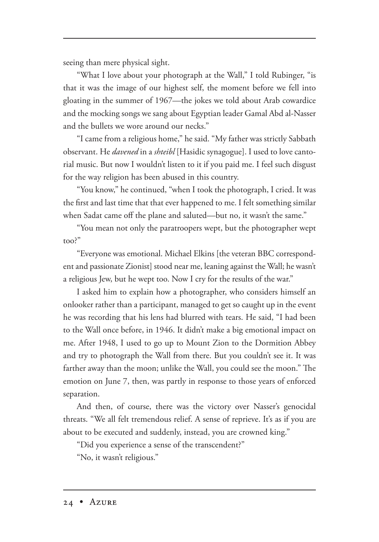seeing than mere physical sight.

"What I love about your photograph at the Wall," I told Rubinger, "is that it was the image of our highest self, the moment before we fell into gloating in the summer of 1967—the jokes we told about Arab cowardice and the mocking songs we sang about Egyptian leader Gamal Abd al-Nasser and the bullets we wore around our necks."

"I came from a religious home," he said. "My father was strictly Sabbath observant. He *davened* in a *shteibl* [Hasidic synagogue]. I used to love cantorial music. But now I wouldn't listen to it if you paid me. I feel such disgust for the way religion has been abused in this country.

"You know," he continued, "when I took the photograph, I cried. It was the first and last time that that ever happened to me. I felt something similar when Sadat came off the plane and saluted—but no, it wasn't the same."

"You mean not only the paratroopers wept, but the photographer wept too?"

"Everyone was emotional. Michael Elkins [the veteran BBC correspondent and passionate Zionist] stood near me, leaning against the Wall; he wasn't a religious Jew, but he wept too. Now I cry for the results of the war."

I asked him to explain how a photographer, who considers himself an onlooker rather than a participant, managed to get so caught up in the event he was recording that his lens had blurred with tears. He said, "I had been to the Wall once before, in 1946. It didn't make a big emotional impact on me. After 1948, I used to go up to Mount Zion to the Dormition Abbey and try to photograph the Wall from there. But you couldn't see it. It was farther away than the moon; unlike the Wall, you could see the moon." The emotion on June 7, then, was partly in response to those years of enforced separation.

And then, of course, there was the victory over Nasser's genocidal threats. "We all felt tremendous relief. A sense of reprieve. It's as if you are about to be executed and suddenly, instead, you are crowned king."

"Did you experience a sense of the transcendent?"

"No, it wasn't religious."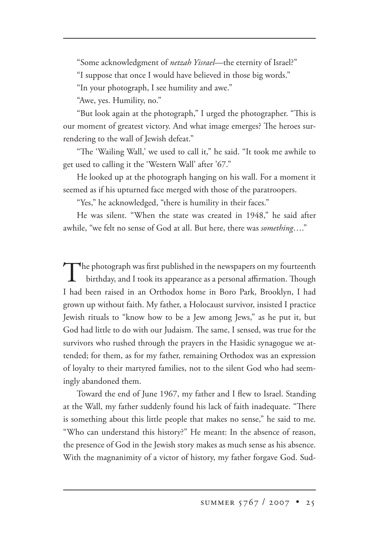"Some acknowledgment of *netzah Yisrael*—the eternity of Israel?"

"I suppose that once I would have believed in those big words."

"In your photograph, I see humility and awe."

"Awe, yes. Humility, no."

"But look again at the photograph," I urged the photographer. "This is our moment of greatest victory. And what image emerges? The heroes surrendering to the wall of Jewish defeat."

"The 'Wailing Wall,' we used to call it," he said. "It took me awhile to get used to calling it the 'Western Wall' after '67."

He looked up at the photograph hanging on his wall. For a moment it seemed as if his upturned face merged with those of the paratroopers.

"Yes," he acknowledged, "there is humility in their faces."

He was silent. "When the state was created in 1948," he said after awhile, "we felt no sense of God at all. But here, there was *something*…."

The photograph was first published in the newspapers on my fourteenth birthday, and I took its appearance as a personal affirmation. Though I had been raised in an Orthodox home in Boro Park, Brooklyn, I had grown up without faith. My father, a Holocaust survivor, insisted I practice Jewish rituals to "know how to be a Jew among Jews," as he put it, but God had little to do with our Judaism. The same, I sensed, was true for the survivors who rushed through the prayers in the Hasidic synagogue we attended; for them, as for my father, remaining Orthodox was an expression of loyalty to their martyred families, not to the silent God who had seemingly abandoned them.

Toward the end of June 1967, my father and I flew to Israel. Standing at the Wall, my father suddenly found his lack of faith inadequate. "There is something about this little people that makes no sense," he said to me. "Who can understand this history?" He meant: In the absence of reason, the presence of God in the Jewish story makes as much sense as his absence. With the magnanimity of a victor of history, my father forgave God. Sud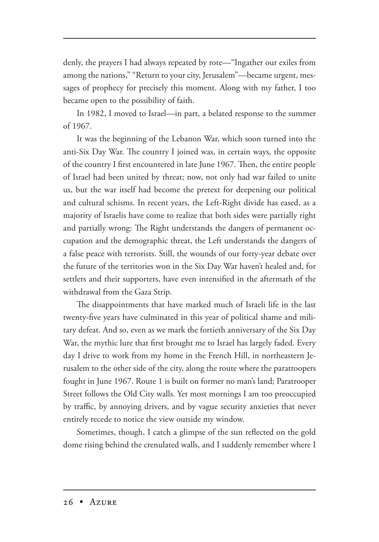denly, the prayers I had always repeated by rote—"Ingather our exiles from among the nations," "Return to your city, Jerusalem"—became urgent, messages of prophecy for precisely this moment. Along with my father, I too became open to the possibility of faith.

In 1982, I moved to Israel—in part, a belated response to the summer of 1967.

It was the beginning of the Lebanon War, which soon turned into the anti-Six Day War. The country I joined was, in certain ways, the opposite of the country I first encountered in late June 1967. Then, the entire people of Israel had been united by threat; now, not only had war failed to unite us, but the war itself had become the pretext for deepening our political and cultural schisms. In recent years, the Left-Right divide has eased, as a majority of Israelis have come to realize that both sides were partially right and partially wrong: The Right understands the dangers of permanent occupation and the demographic threat, the Left understands the dangers of a false peace with terrorists. Still, the wounds of our forty-year debate over the future of the territories won in the Six Day War haven't healed and, for settlers and their supporters, have even intensified in the aftermath of the withdrawal from the Gaza Strip.

The disappointments that have marked much of Israeli life in the last twenty-five years have culminated in this year of political shame and military defeat. And so, even as we mark the fortieth anniversary of the Six Day War, the mythic lure that first brought me to Israel has largely faded. Every day I drive to work from my home in the French Hill, in northeastern Jerusalem to the other side of the city, along the route where the paratroopers fought in June 1967. Route 1 is built on former no man's land; Paratrooper Street follows the Old City walls. Yet most mornings I am too preoccupied by traffic, by annoying drivers, and by vague security anxieties that never entirely recede to notice the view outside my window.

Sometimes, though, I catch a glimpse of the sun reflected on the gold dome rising behind the crenulated walls, and I suddenly remember where I